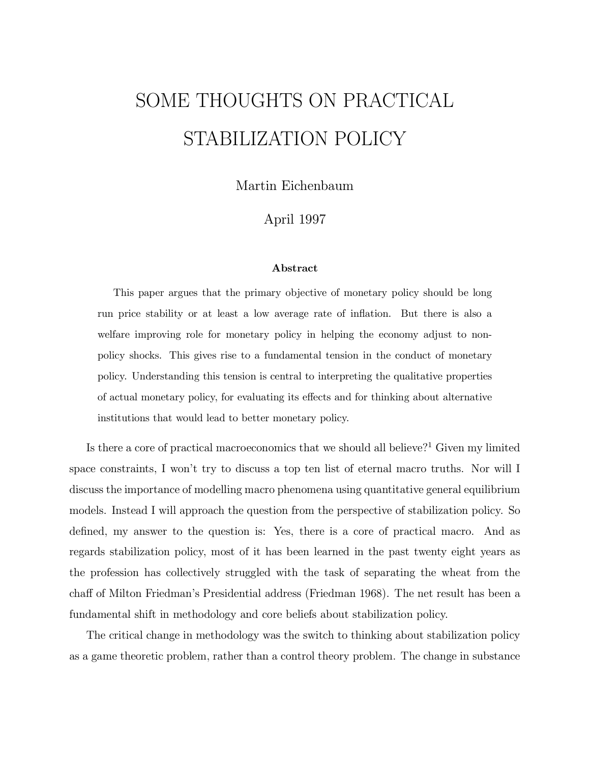# SOME THOUGHTS ON PRACTICAL STABILIZATION POLICY

Martin Eichenbaum

## April 1997

#### Abstract

This paper argues that the primary objective of monetary policy should be long run price stability or at least a low average rate of inflation. But there is also a welfare improving role for monetary policy in helping the economy adjust to nonpolicy shocks. This gives rise to a fundamental tension in the conduct of monetary policy. Understanding this tension is central to interpreting the qualitative properties of actual monetary policy, for evaluating its effects and for thinking about alternative institutions that would lead to better monetary policy.

Is there a core of practical macroeconomics that we should all believe? <sup>1</sup> Given my limited space constraints, I won't try to discuss a top ten list of eternal macro truths. Nor will I discuss the importance of modelling macro phenomena using quantitative general equilibrium models. Instead I will approach the question from the perspective of stabilization policy. So defined, my answer to the question is: Yes, there is a core of practical macro. And as regards stabilization policy, most of it has been learned in the past twenty eight years as the profession has collectively struggled with the task of separating the wheat from the cha® of Milton Friedman's Presidential address (Friedman 1968). The net result has been a fundamental shift in methodology and core beliefs about stabilization policy.

The critical change in methodology was the switch to thinking about stabilization policy as a game theoretic problem, rather than a control theory problem. The change in substance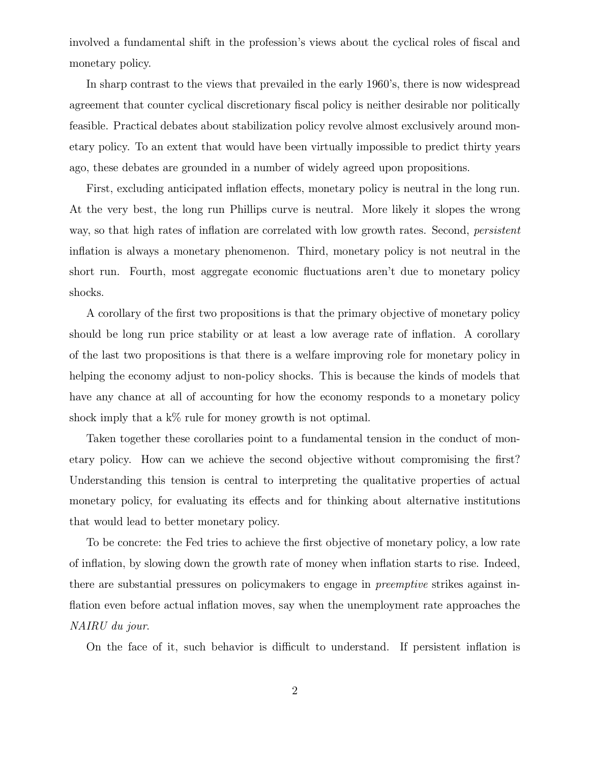involved a fundamental shift in the profession's views about the cyclical roles of fiscal and monetary policy.

In sharp contrast to the views that prevailed in the early 1960's, there is now widespread agreement that counter cyclical discretionary fiscal policy is neither desirable nor politically feasible. Practical debates about stabilization policy revolve almost exclusively around monetary policy. To an extent that would have been virtually impossible to predict thirty years ago, these debates are grounded in a number of widely agreed upon propositions.

First, excluding anticipated inflation effects, monetary policy is neutral in the long run. At the very best, the long run Phillips curve is neutral. More likely it slopes the wrong way, so that high rates of inflation are correlated with low growth rates. Second, *persistent* inflation is always a monetary phenomenon. Third, monetary policy is not neutral in the short run. Fourth, most aggregate economic fluctuations aren't due to monetary policy shocks.

A corollary of the first two propositions is that the primary objective of monetary policy should be long run price stability or at least a low average rate of inflation. A corollary of the last two propositions is that there is a welfare improving role for monetary policy in helping the economy adjust to non-policy shocks. This is because the kinds of models that have any chance at all of accounting for how the economy responds to a monetary policy shock imply that a  $k\%$  rule for money growth is not optimal.

Taken together these corollaries point to a fundamental tension in the conduct of monetary policy. How can we achieve the second objective without compromising the first? Understanding this tension is central to interpreting the qualitative properties of actual monetary policy, for evaluating its effects and for thinking about alternative institutions that would lead to better monetary policy.

To be concrete: the Fed tries to achieve the first objective of monetary policy, a low rate of inflation, by slowing down the growth rate of money when inflation starts to rise. Indeed, there are substantial pressures on policymakers to engage in preemptive strikes against in flation even before actual inflation moves, say when the unemployment rate approaches the NAIRU du jour.

On the face of it, such behavior is difficult to understand. If persistent inflation is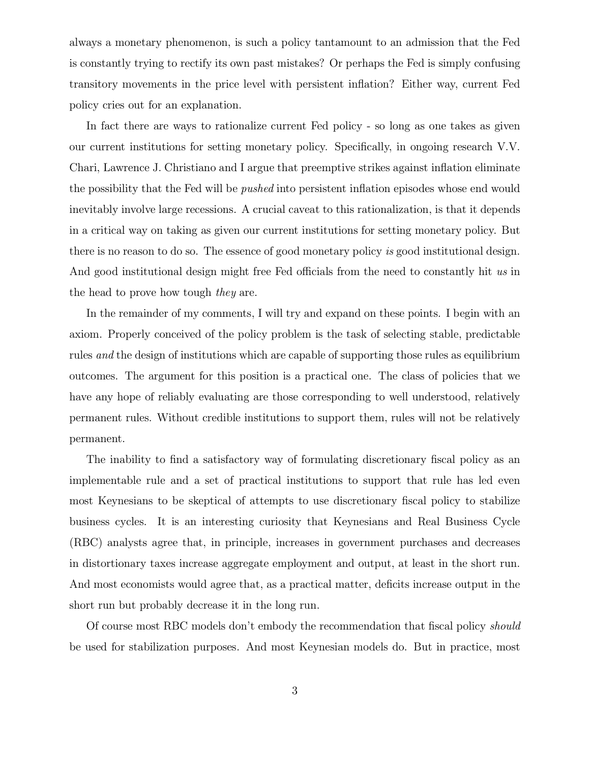always a monetary phenomenon, is such a policy tantamount to an admission that the Fed is constantly trying to rectify its own past mistakes? Or perhaps the Fed is simply confusing transitory movements in the price level with persistent inflation? Either way, current Fed policy cries out for an explanation.

In fact there are ways to rationalize current Fed policy - so long as one takes as given our current institutions for setting monetary policy. Specifically, in ongoing research V.V. Chari, Lawrence J. Christiano and I argue that preemptive strikes against inflation eliminate the possibility that the Fed will be *pushed* into persistent inflation episodes whose end would inevitably involve large recessions. A crucial caveat to this rationalization, is that it depends in a critical way on taking as given our current institutions for setting monetary policy. But there is no reason to do so. The essence of good monetary policy is good institutional design. And good institutional design might free Fed officials from the need to constantly hit us in the head to prove how tough they are.

In the remainder of my comments, I will try and expand on these points. I begin with an axiom. Properly conceived of the policy problem is the task of selecting stable, predictable rules and the design of institutions which are capable of supporting those rules as equilibrium outcomes. The argument for this position is a practical one. The class of policies that we have any hope of reliably evaluating are those corresponding to well understood, relatively permanent rules. Without credible institutions to support them, rules will not be relatively permanent.

The inability to find a satisfactory way of formulating discretionary fiscal policy as an implementable rule and a set of practical institutions to support that rule has led even most Keynesians to be skeptical of attempts to use discretionary fiscal policy to stabilize business cycles. It is an interesting curiosity that Keynesians and Real Business Cycle (RBC) analysts agree that, in principle, increases in government purchases and decreases in distortionary taxes increase aggregate employment and output, at least in the short run. And most economists would agree that, as a practical matter, deficits increase output in the short run but probably decrease it in the long run.

Of course most RBC models don't embody the recommendation that fiscal policy *should* be used for stabilization purposes. And most Keynesian models do. But in practice, most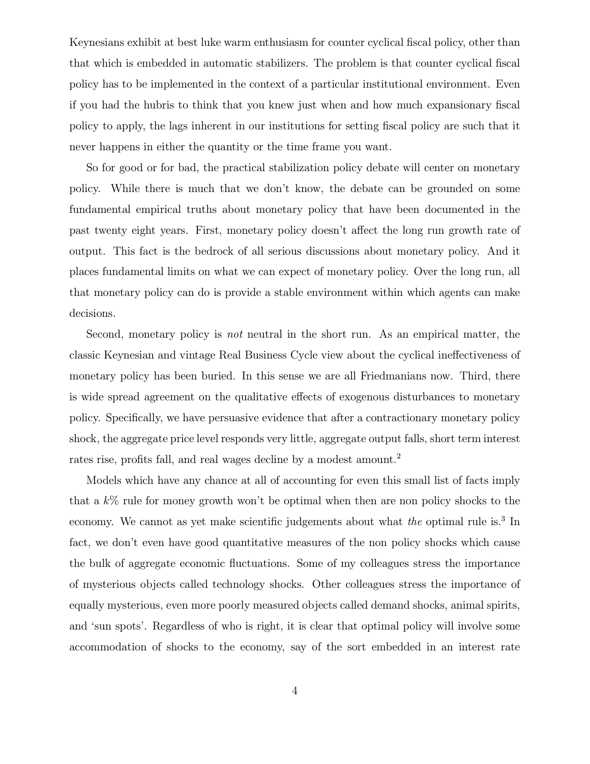Keynesians exhibit at best luke warm enthusiasm for counter cyclical fiscal policy, other than that which is embedded in automatic stabilizers. The problem is that counter cyclical fiscal policy has to be implemented in the context of a particular institutional environment. Even if you had the hubris to think that you knew just when and how much expansionary fiscal policy to apply, the lags inherent in our institutions for setting fiscal policy are such that it never happens in either the quantity or the time frame you want.

So for good or for bad, the practical stabilization policy debate will center on monetary policy. While there is much that we don't know, the debate can be grounded on some fundamental empirical truths about monetary policy that have been documented in the past twenty eight years. First, monetary policy doesn't affect the long run growth rate of output. This fact is the bedrock of all serious discussions about monetary policy. And it places fundamental limits on what we can expect of monetary policy. Over the long run, all that monetary policy can do is provide a stable environment within which agents can make decisions.

Second, monetary policy is not neutral in the short run. As an empirical matter, the classic Keynesian and vintage Real Business Cycle view about the cyclical ineffectiveness of monetary policy has been buried. In this sense we are all Friedmanians now. Third, there is wide spread agreement on the qualitative effects of exogenous disturbances to monetary policy. Specifically, we have persuasive evidence that after a contractionary monetary policy shock, the aggregate price level responds very little, aggregate output falls, short term interest rates rise, profits fall, and real wages decline by a modest amount.<sup>2</sup>

Models which have any chance at all of accounting for even this small list of facts imply that a k% rule for money growth won't be optimal when then are non policy shocks to the economy. We cannot as yet make scientific judgements about what the optimal rule is.<sup>3</sup> In fact, we don't even have good quantitative measures of the non policy shocks which cause the bulk of aggregate economic fluctuations. Some of my colleagues stress the importance of mysterious objects called technology shocks. Other colleagues stress the importance of equally mysterious, even more poorly measured objects called demand shocks, animal spirits, and 'sun spots'. Regardless of who is right, it is clear that optimal policy will involve some accommodation of shocks to the economy, say of the sort embedded in an interest rate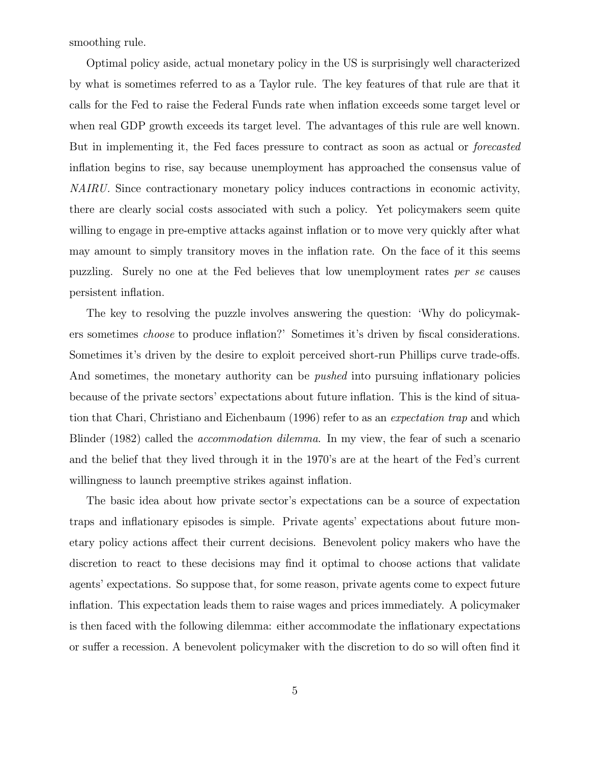smoothing rule.

Optimal policy aside, actual monetary policy in the US is surprisingly well characterized by what is sometimes referred to as a Taylor rule. The key features of that rule are that it calls for the Fed to raise the Federal Funds rate when inflation exceeds some target level or when real GDP growth exceeds its target level. The advantages of this rule are well known. But in implementing it, the Fed faces pressure to contract as soon as actual or forecasted inflation begins to rise, say because unemployment has approached the consensus value of NAIRU. Since contractionary monetary policy induces contractions in economic activity, there are clearly social costs associated with such a policy. Yet policymakers seem quite willing to engage in pre-emptive attacks against inflation or to move very quickly after what may amount to simply transitory moves in the inflation rate. On the face of it this seems puzzling. Surely no one at the Fed believes that low unemployment rates per se causes persistent inflation.

The key to resolving the puzzle involves answering the question: `Why do policymakers sometimes *choose* to produce inflation?' Sometimes it's driven by fiscal considerations. Sometimes it's driven by the desire to exploit perceived short-run Phillips curve trade-offs. And sometimes, the monetary authority can be *pushed* into pursuing inflationary policies because of the private sectors' expectations about future inflation. This is the kind of situation that Chari, Christiano and Eichenbaum (1996) refer to as an expectation trap and which Blinder (1982) called the *accommodation dilemma*. In my view, the fear of such a scenario and the belief that they lived through it in the 1970's are at the heart of the Fed's current willingness to launch preemptive strikes against inflation.

The basic idea about how private sector's expectations can be a source of expectation traps and inflationary episodes is simple. Private agents' expectations about future monetary policy actions affect their current decisions. Benevolent policy makers who have the discretion to react to these decisions may find it optimal to choose actions that validate agents' expectations. So suppose that, for some reason, private agents come to expect future inflation. This expectation leads them to raise wages and prices immediately. A policymaker is then faced with the following dilemma: either accommodate the inflationary expectations or suffer a recession. A benevolent policymaker with the discretion to do so will often find it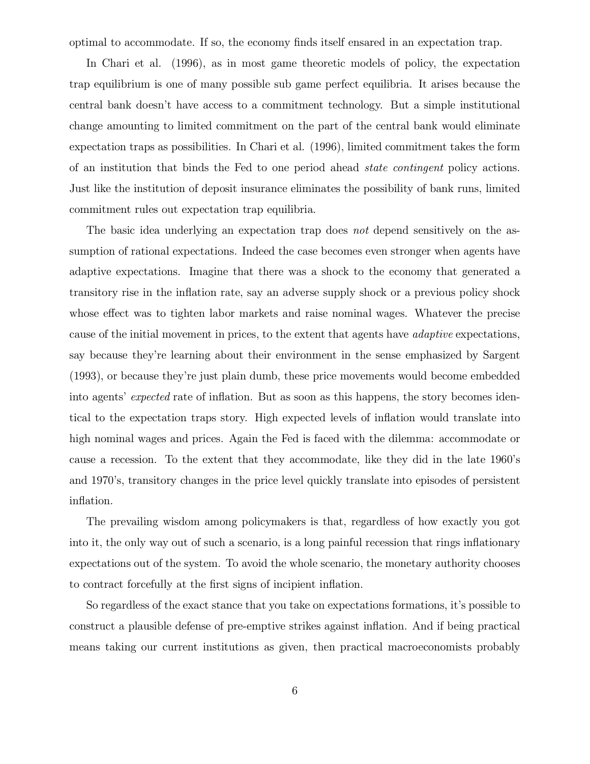optimal to accommodate. If so, the economy finds itself ensared in an expectation trap.

In Chari et al. (1996), as in most game theoretic models of policy, the expectation trap equilibrium is one of many possible sub game perfect equilibria. It arises because the central bank doesn't have access to a commitment technology. But a simple institutional change amounting to limited commitment on the part of the central bank would eliminate expectation traps as possibilities. In Chari et al. (1996), limited commitment takes the form of an institution that binds the Fed to one period ahead state contingent policy actions. Just like the institution of deposit insurance eliminates the possibility of bank runs, limited commitment rules out expectation trap equilibria.

The basic idea underlying an expectation trap does not depend sensitively on the assumption of rational expectations. Indeed the case becomes even stronger when agents have adaptive expectations. Imagine that there was a shock to the economy that generated a transitory rise in the inflation rate, say an adverse supply shock or a previous policy shock whose effect was to tighten labor markets and raise nominal wages. Whatever the precise cause of the initial movement in prices, to the extent that agents have adaptive expectations, say because they're learning about their environment in the sense emphasized by Sargent (1993), or because they're just plain dumb, these price movements would become embedded into agents' expected rate of inflation. But as soon as this happens, the story becomes identical to the expectation traps story. High expected levels of inflation would translate into high nominal wages and prices. Again the Fed is faced with the dilemma: accommodate or cause a recession. To the extent that they accommodate, like they did in the late 1960's and 1970's, transitory changes in the price level quickly translate into episodes of persistent inflation.

The prevailing wisdom among policymakers is that, regardless of how exactly you got into it, the only way out of such a scenario, is a long painful recession that rings inflationary expectations out of the system. To avoid the whole scenario, the monetary authority chooses to contract forcefully at the first signs of incipient inflation.

So regardless of the exact stance that you take on expectations formations, it's possible to construct a plausible defense of pre-emptive strikes against inflation. And if being practical means taking our current institutions as given, then practical macroeconomists probably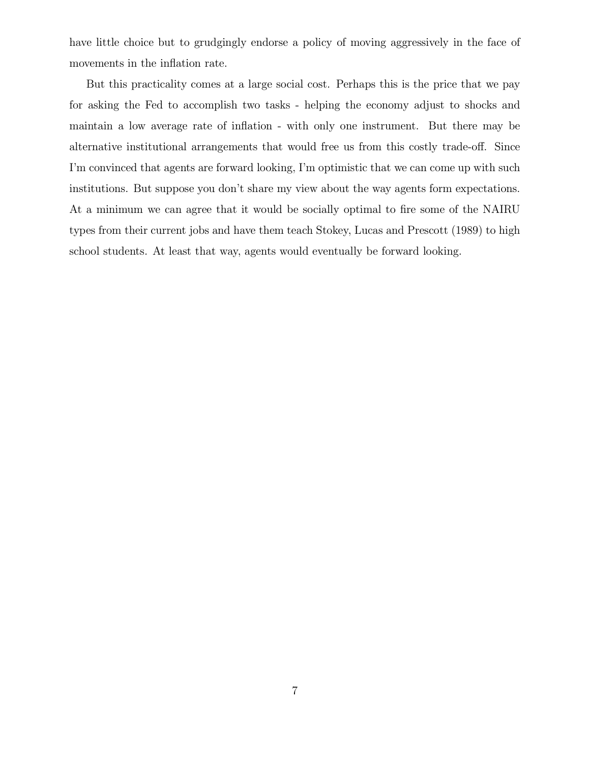have little choice but to grudgingly endorse a policy of moving aggressively in the face of movements in the inflation rate.

But this practicality comes at a large social cost. Perhaps this is the price that we pay for asking the Fed to accomplish two tasks - helping the economy adjust to shocks and maintain a low average rate of inflation - with only one instrument. But there may be alternative institutional arrangements that would free us from this costly trade-off. Since I'm convinced that agents are forward looking, I'm optimistic that we can come up with such institutions. But suppose you don't share my view about the way agents form expectations. At a minimum we can agree that it would be socially optimal to fire some of the NAIRU types from their current jobs and have them teach Stokey, Lucas and Prescott (1989) to high school students. At least that way, agents would eventually be forward looking.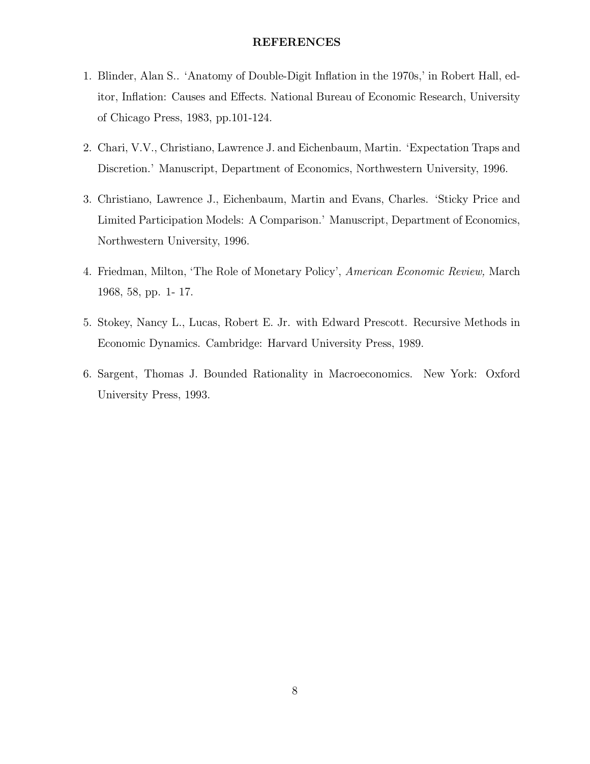#### REFERENCES

- 1. Blinder, Alan S.. 'Anatomy of Double-Digit Inflation in the 1970s,' in Robert Hall, editor, Inflation: Causes and Effects. National Bureau of Economic Research, University of Chicago Press, 1983, pp.101-124.
- 2. Chari, V.V., Christiano, Lawrence J. and Eichenbaum, Martin. `Expectation Traps and Discretion.' Manuscript, Department of Economics, Northwestern University, 1996.
- 3. Christiano, Lawrence J., Eichenbaum, Martin and Evans, Charles. `Sticky Price and Limited Participation Models: A Comparison.' Manuscript, Department of Economics, Northwestern University, 1996.
- 4. Friedman, Milton, `The Role of Monetary Policy', American Economic Review, March 1968, 58, pp. 1- 17.
- 5. Stokey, Nancy L., Lucas, Robert E. Jr. with Edward Prescott. Recursive Methods in Economic Dynamics. Cambridge: Harvard University Press, 1989.
- 6. Sargent, Thomas J. Bounded Rationality in Macroeconomics. New York: Oxford University Press, 1993.